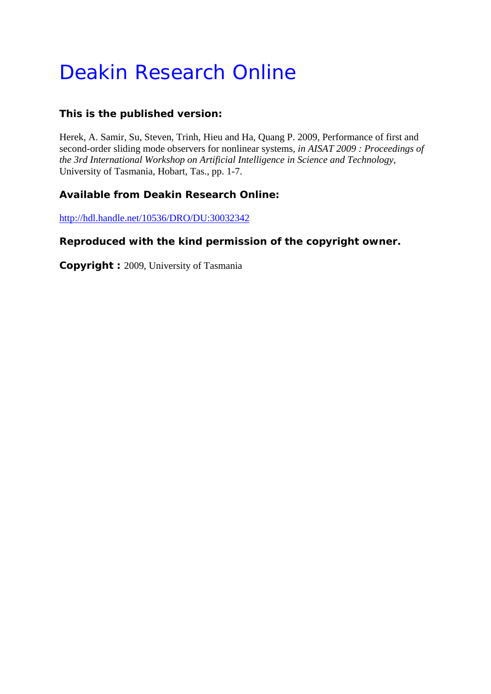# Deakin Research Online

## **This is the published version:**

Herek, A. Samir, Su, Steven, Trinh, Hieu and Ha, Quang P. 2009, Performance of first and second-order sliding mode observers for nonlinear systems*, in AISAT 2009 : Proceedings of the 3rd International Workshop on Artificial Intelligence in Science and Technology*, University of Tasmania, Hobart, Tas., pp. 1-7.

# **Available from Deakin Research Online:**

http://hdl.handle.net/10536/DRO/DU:30032342

## **Reproduced with the kind permission of the copyright owner.**

**Copyright :** 2009, University of Tasmania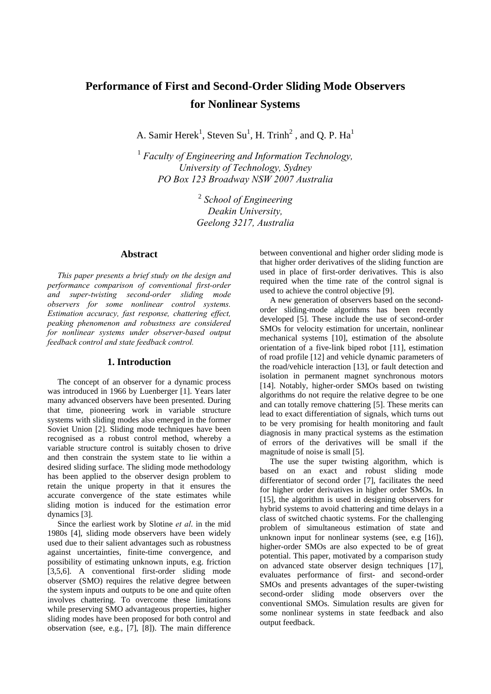# **Performance of First and Second-Order Sliding Mode Observers for Nonlinear Systems**

A. Samir Herek<sup>1</sup>, Steven Su<sup>1</sup>, H. Trinh<sup>2</sup>, and Q. P. Ha<sup>1</sup>

<sup>1</sup> Faculty of Engineering and Information Technology, *University of Technology, Sydney PO Box 123 Broadway NSW 2007 Australia* 

> <sup>2</sup> *School of Engineering Deakin University, Geelong 3217, Australia*

#### **Abstract**

*This paper presents a brief study on the design and performance comparison of conventional first-order and super-twisting second-order sliding mode observers for some nonlinear control systems. Estimation accuracy, fast response, chattering effect, peaking phenomenon and robustness are considered for nonlinear systems under observer-based output feedback control and state feedback control.* 

#### **1. Introduction**

The concept of an observer for a dynamic process was introduced in 1966 by Luenberger [1]. Years later many advanced observers have been presented. During that time, pioneering work in variable structure systems with sliding modes also emerged in the former Soviet Union [2]. Sliding mode techniques have been recognised as a robust control method, whereby a variable structure control is suitably chosen to drive and then constrain the system state to lie within a desired sliding surface. The sliding mode methodology has been applied to the observer design problem to retain the unique property in that it ensures the accurate convergence of the state estimates while sliding motion is induced for the estimation error dynamics [3].

Since the earliest work by Slotine *et al*. in the mid 1980s [4], sliding mode observers have been widely used due to their salient advantages such as robustness against uncertainties, finite-time convergence, and possibility of estimating unknown inputs, e.g. friction [3,5,6]. A conventional first-order sliding mode observer (SMO) requires the relative degree between the system inputs and outputs to be one and quite often involves chattering. To overcome these limitations while preserving SMO advantageous properties, higher sliding modes have been proposed for both control and observation (see, e.g., [7], [8]). The main difference

between conventional and higher order sliding mode is that higher order derivatives of the sliding function are used in place of first-order derivatives. This is also required when the time rate of the control signal is used to achieve the control objective [9].

A new generation of observers based on the secondorder sliding-mode algorithms has been recently developed [5]. These include the use of second-order SMOs for velocity estimation for uncertain, nonlinear mechanical systems [10], estimation of the absolute orientation of a five-link biped robot [11], estimation of road profile [12] and vehicle dynamic parameters of the road/vehicle interaction [13], or fault detection and isolation in permanent magnet synchronous motors [14]. Notably, higher-order SMOs based on twisting algorithms do not require the relative degree to be one and can totally remove chattering [5]. These merits can lead to exact differentiation of signals, which turns out to be very promising for health monitoring and fault diagnosis in many practical systems as the estimation of errors of the derivatives will be small if the magnitude of noise is small [5].

The use the super twisting algorithm, which is based on an exact and robust sliding mode differentiator of second order [7], facilitates the need for higher order derivatives in higher order SMOs. In [15], the algorithm is used in designing observers for hybrid systems to avoid chattering and time delays in a class of switched chaotic systems. For the challenging problem of simultaneous estimation of state and unknown input for nonlinear systems (see, e.g [16]), higher-order SMOs are also expected to be of great potential. This paper, motivated by a comparison study on advanced state observer design techniques [17], evaluates performance of first- and second-order SMOs and presents advantages of the super-twisting second-order sliding mode observers over the conventional SMOs. Simulation results are given for some nonlinear systems in state feedback and also output feedback.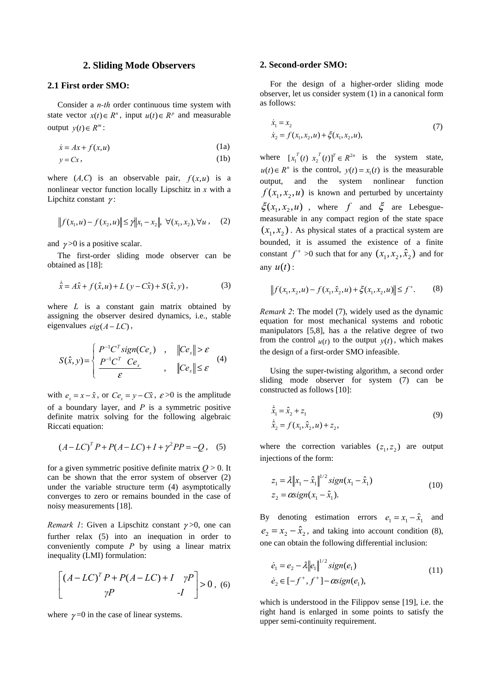#### **2. Sliding Mode Observers**

#### **2.1 First order SMO:**

Consider a *n-th* order continuous time system with state vector  $x(t) \in R^n$ , input  $u(t) \in R^p$  and measurable output  $y(t) ∈ R<sup>m</sup>$ :

$$
\dot{x} = Ax + f(x, u) \tag{1a}
$$

$$
y = Cx, \tag{1b}
$$

where  $(A, C)$  is an observable pair,  $f(x, u)$  is a nonlinear vector function locally Lipschitz in *x* with a Lipchitz constant  $\gamma$ :

$$
|| f (x_1, u) - f (x_2, u) || \le \gamma ||x_1 - x_2||, \ \forall (x_1, x_2), \forall u, \quad (2)
$$

and  $\gamma > 0$  is a positive scalar.

The first-order sliding mode observer can be obtained as [18]:

$$
\dot{\hat{x}} = A\hat{x} + f(\hat{x}, u) + L(y - C\hat{x}) + S(\hat{x}, y),
$$
 (3)

where *L* is a constant gain matrix obtained by assigning the observer desired dynamics, i.e., stable eigenvalues  $eig(A-LC)$ ,

$$
S(\hat{x}, y) = \begin{cases} P^{-1}C^{T} \operatorname{sign}(Ce_{x}) & , & ||Ce_{x}|| > \varepsilon \\ \frac{P^{-1}C^{T} \cdot Ce_{x}}{\varepsilon} & , & ||Ce_{x}|| \leq \varepsilon \end{cases}
$$
 (4)

with  $e_x = x - \hat{x}$ , or  $Ce_x = y - C\hat{x}$ ,  $\varepsilon > 0$  is the amplitude of a boundary layer, and *P* is a symmetric positive definite matrix solving for the following algebraic Riccati equation:

$$
(A - LC)^{T} P + P(A - LC) + I + \gamma^{2} PP = -Q, (5)
$$

for a given symmetric positive definite matrix  $Q > 0$ . It can be shown that the error system of observer (2) under the variable structure term (4) asymptotically converges to zero or remains bounded in the case of noisy measurements [18].

*Remark 1*: Given a Lipschitz constant  $\gamma > 0$ , one can further relax (5) into an inequation in order to conveniently compute *P* by using a linear matrix inequality (LMI) formulation:

$$
\begin{bmatrix} (A - LC)^T P + P(A - LC) + I & \gamma P \\ \gamma P & -I \end{bmatrix} > 0, \text{ (6)}
$$

where  $\gamma = 0$  in the case of linear systems.

#### **2. Second-order SMO:**

For the design of a higher-order sliding mode observer, let us consider system (1) in a canonical form as follows:

$$
\dot{x}_1 = x_2
$$
  
\n
$$
\dot{x}_2 = f(x_1, x_2, u) + \xi(x_1, x_2, u),
$$
\n(7)

where  $[x_1^T(t) x_2^T(t)]^T \in R^{2n}$  is the system state,  $u(t) \in R^n$  is the control,  $y(t) = x_i(t)$  is the measurable output, and the system nonlinear function  $f(x_1, x_2, u)$  is known and perturbed by uncertainty  $\xi(x_1, x_2, u)$ , where f and  $\xi$  are Lebesguemeasurable in any compact region of the state space  $(x_1, x_2)$ . As physical states of a practical system are bounded, it is assumed the existence of a finite constant  $f^+ > 0$  such that for any  $(x_1, x_2, \hat{x}_2)$  and for any  $u(t)$ :

$$
|| f(x_1, x_2, u) - f(x_1, \hat{x}_2, u) + \xi(x_1, x_2, u) || \le f^+.
$$
 (8)

*Remark 2*: The model (7), widely used as the dynamic equation for most mechanical systems and robotic manipulators [5,8], has a the relative degree of two from the control  $u(t)$  to the output  $y(t)$ , which makes the design of a first-order SMO infeasible.

Using the super-twisting algorithm, a second order sliding mode observer for system (7) can be constructed as follows [10]:

$$
\begin{aligned}\n\dot{\hat{x}}_1 &= \hat{x}_2 + z_1 \\
\dot{\hat{x}}_2 &= f(x_1, \hat{x}_2, u) + z_2,\n\end{aligned} \tag{9}
$$

where the correction variables  $(z_1, z_2)$  are output injections of the form:

$$
z_1 = \lambda \|x_1 - \hat{x}_1\|^{1/2} sign(x_1 - \hat{x}_1)
$$
  
\n
$$
z_2 = \alpha sign(x_1 - \hat{x}_1).
$$
 (10)

By denoting estimation errors  $e_1 = x_1 - \hat{x}_1$  and  $e_2 = x_2 - \hat{x}_2$ , and taking into account condition (8), one can obtain the following differential inclusion:

$$
\dot{e}_1 = e_2 - \lambda ||e_1||^{1/2} sign(e_1)
$$
  
\n
$$
\dot{e}_2 \in [-f^+, f^+] - \alpha sign(e_1),
$$
\n(11)

which is understood in the Filippov sense [19], i.e. the right hand is enlarged in some points to satisfy the upper semi-continuity requirement.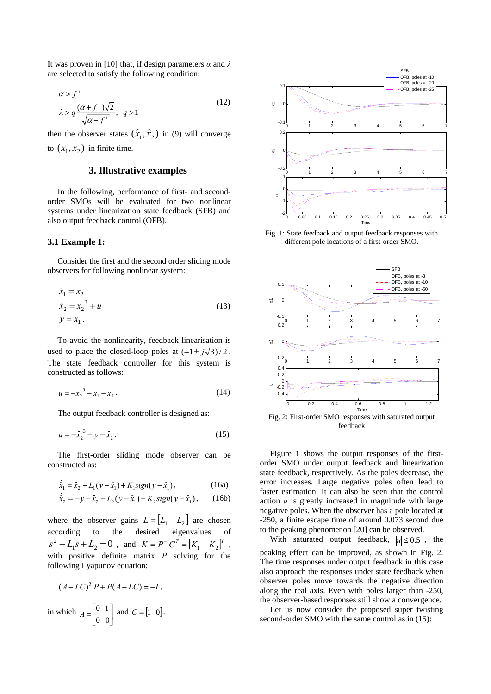It was proven in [10] that, if design parameters *α* and *λ* are selected to satisfy the following condition:

$$
\alpha > f^+
$$
  
\n
$$
\lambda > q \frac{(\alpha + f^+) \sqrt{2}}{\sqrt{\alpha - f^+}}, \quad q > 1
$$
\n(12)

then the observer states  $(\hat{x}_1, \hat{x}_2)$  in (9) will converge to  $(x_1, x_2)$  in finite time.

#### **3. Illustrative examples**

In the following, performance of first- and secondorder SMOs will be evaluated for two nonlinear systems under linearization state feedback (SFB) and also output feedback control (OFB).

#### **3.1 Example 1:**

Consider the first and the second order sliding mode observers for following nonlinear system:

$$
\dot{x}_1 = x_2 \n\dot{x}_2 = x_2^3 + u \n y = x_1.
$$
\n(13)

To avoid the nonlinearity, feedback linearisation is used to place the closed-loop poles at  $\left(-1 \pm j\sqrt{3}\right)/2$ . The state feedback controller for this system is constructed as follows:

$$
u = -x_2^3 - x_1 - x_2.
$$
 (14)

The output feedback controller is designed as:

$$
u = -\hat{x}_2^3 - y - \hat{x}_2. \tag{15}
$$

The first-order sliding mode observer can be constructed as:

$$
\dot{\hat{x}}_1 = \hat{x}_2 + L_1(y - \hat{x}_1) + K_1 sign(y - \hat{x}_1),
$$
\n(16a)

$$
\dot{\hat{x}}_2 = -y - \hat{x}_2 + L_2(y - \hat{x}_1) + K_2 sign(y - \hat{x}_1), \quad (16b)
$$

where the observer gains  $L = [L_1 \ L_2]$  are chosen according to the desired eigenvalues of  $1 S^2 + L_1 S + L_2 = 0$ , and  $K = P^{-1} C^T = [K_1 \quad K_2]^T$ , with positive definite matrix *P* solving for the following Lyapunov equation:

$$
(A - LC)^{T} P + P(A - LC) = -I,
$$
  
in which  $A = \begin{bmatrix} 0 & 1 \\ 0 & 0 \end{bmatrix}$  and  $C = \begin{bmatrix} 1 & 0 \end{bmatrix}$ .



Fig. 1: State feedback and output feedback responses with different pole locations of a first-order SMO.



Fig. 2: First-order SMO responses with saturated output feedback

Figure 1 shows the output responses of the firstorder SMO under output feedback and linearization state feedback, respectively. As the poles decrease, the error increases. Large negative poles often lead to faster estimation. It can also be seen that the control action *u* is greatly increased in magnitude with large negative poles. When the observer has a pole located at -250, a finite escape time of around 0.073 second due to the peaking phenomenon [20] can be observed.

With saturated output feedback,  $|u| \le 0.5$ , the peaking effect can be improved, as shown in Fig. 2. The time responses under output feedback in this case also approach the responses under state feedback when observer poles move towards the negative direction along the real axis. Even with poles larger than -250, the observer-based responses still show a convergence.

Let us now consider the proposed super twisting second-order SMO with the same control as in (15):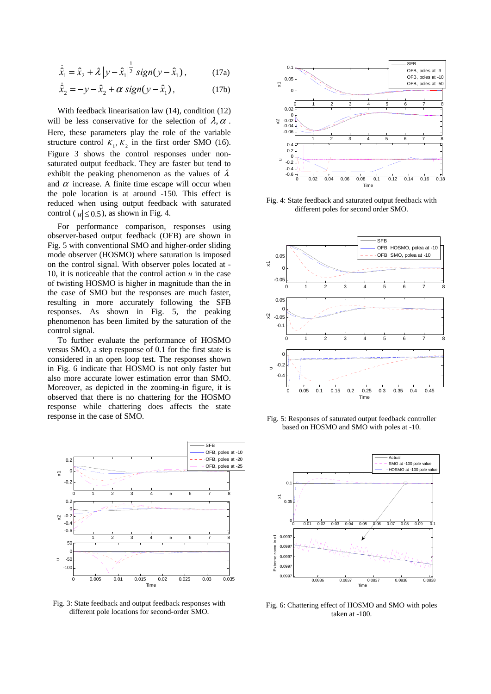$$
\dot{\hat{x}}_1 = \hat{x}_2 + \lambda |y - \hat{x}_1|^{\frac{1}{2}} sign(y - \hat{x}_1), \quad (17a)
$$

$$
\dot{\hat{x}}_2 = -y - \hat{x}_2 + \alpha \operatorname{sign}(y - \hat{x}_1),\tag{17b}
$$

With feedback linearisation law (14), condition (12) will be less conservative for the selection of  $\lambda$ ,  $\alpha$ . Here, these parameters play the role of the variable structure control  $K_1, K_2$  in the first order SMO (16). Figure 3 shows the control responses under nonsaturated output feedback. They are faster but tend to exhibit the peaking phenomenon as the values of  $\lambda$ and  $\alpha$  increase. A finite time escape will occur when the pole location is at around -150. This effect is reduced when using output feedback with saturated control ( $|u| \le 0.5$ ), as shown in Fig. 4.

For performance comparison, responses using observer-based output feedback (OFB) are shown in Fig. 5 with conventional SMO and higher-order sliding mode observer (HOSMO) where saturation is imposed on the control signal. With observer poles located at - 10, it is noticeable that the control action *u* in the case of twisting HOSMO is higher in magnitude than the in the case of SMO but the responses are much faster, resulting in more accurately following the SFB responses. As shown in Fig. 5, the peaking phenomenon has been limited by the saturation of the control signal.

To further evaluate the performance of HOSMO versus SMO, a step response of 0.1 for the first state is considered in an open loop test. The responses shown in Fig. 6 indicate that HOSMO is not only faster but also more accurate lower estimation error than SMO. Moreover, as depicted in the zooming-in figure, it is observed that there is no chattering for the HOSMO response while chattering does affects the state response in the case of SMO.



Fig. 3: State feedback and output feedback responses with different pole locations for second-order SMO.



Fig. 4: State feedback and saturated output feedback with different poles for second order SMO.



Fig. 5: Responses of saturated output feedback controller based on HOSMO and SMO with poles at -10.



Fig. 6: Chattering effect of HOSMO and SMO with poles taken at -100.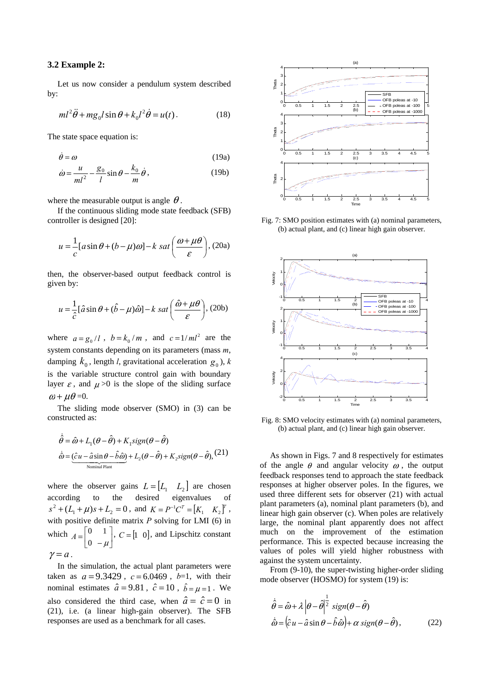#### **3.2 Example 2:**

Let us now consider a pendulum system described by:

$$
ml^{2}\ddot{\theta} + mg_{0}l\sin\theta + k_{0}l^{2}\dot{\theta} = u(t).
$$
 (18)

The state space equation is:

$$
\dot{\theta} = \omega \tag{19a}
$$

$$
\dot{\omega} = \frac{u}{ml^2} - \frac{g_0}{l} \sin \theta - \frac{k_0}{m} \dot{\theta},\qquad(19b)
$$

where the measurable output is angle  $\theta$ .

If the continuous sliding mode state feedback (SFB) controller is designed [20]:

$$
u = \frac{1}{c} [a \sin \theta + (b - \mu)\omega] - k \text{ sat } \left(\frac{\omega + \mu\theta}{\varepsilon}\right), (20a)
$$

then, the observer-based output feedback control is given by:

$$
u = \frac{1}{\hat{c}} [\hat{a} \sin \theta + (\hat{b} - \mu)\hat{\omega}] - k \text{ sat } \left(\frac{\hat{\omega} + \mu\theta}{\varepsilon}\right), (20b)
$$

where  $a = g_0/l$ ,  $b = k_0/m$ , and  $c = 1/ml^2$  are the system constants depending on its parameters (mass *m*, damping  $k_0$ , length *l*, gravitational acceleration  $g_0$ ), *k* is the variable structure control gain with boundary layer  $\varepsilon$ , and  $\mu > 0$  is the slope of the sliding surface  $\omega + \mu \theta = 0$ .

The sliding mode observer (SMO) in (3) can be constructed as:

$$
\dot{\hat{\theta}} = \hat{\omega} + L_1(\theta - \hat{\theta}) + K_1 sign(\theta - \hat{\theta})
$$
  

$$
\dot{\hat{\omega}} = \underbrace{(\hat{c}u - \hat{a}\sin\theta - \hat{b}\hat{\omega})}_{\text{Normal Plant}} + L_2(\theta - \hat{\theta}) + K_2 sign(\theta - \hat{\theta}),
$$
 (21)

where the observer gains  $L = [L_1 \ L_2]$  are chosen according to the desired eigenvalues of  $(s^{2} + (L_{1} + \mu)s + L_{2} = 0$ , and  $K = P^{-1}C^{T} = [K_{1} \quad K_{2}]^{T}$ , with positive definite matrix *P* solving for LMI (6) in which  $A = \begin{bmatrix} 0 & 1 \\ 0 & -\mu \end{bmatrix}$  $A = \begin{bmatrix} 0 & 1 \\ 0 & -\mu \end{bmatrix}$ ,  $C = \begin{bmatrix} 1 & 0 \end{bmatrix}$ , and Lipschitz constant  $\gamma = a$ .

In the simulation, the actual plant parameters were taken as  $a = 9.3429$ ,  $c = 6.0469$ ,  $b=1$ , with their nominal estimates  $\hat{a} = 9.81$ ,  $\hat{c} = 10$ ,  $\hat{b} = \mu = 1$ . We also considered the third case, when  $\hat{a} = \hat{c} = 0$  in (21), i.e. (a linear high-gain observer). The SFB responses are used as a benchmark for all cases.



Fig. 7: SMO position estimates with (a) nominal parameters, (b) actual plant, and (c) linear high gain observer.



Fig. 8: SMO velocity estimates with (a) nominal parameters, (b) actual plant, and (c) linear high gain observer.

As shown in Figs. 7 and 8 respectively for estimates of the angle  $\theta$  and angular velocity  $\omega$ , the output feedback responses tend to approach the state feedback responses at higher observer poles. In the figures, we used three different sets for observer (21) with actual plant parameters (a), nominal plant parameters (b), and linear high gain observer (c). When poles are relatively large, the nominal plant apparently does not affect much on the improvement of the estimation performance. This is expected because increasing the values of poles will yield higher robustness with against the system uncertainty.

From (9-10), the super-twisting higher-order sliding mode observer (HOSMO) for system (19) is:

$$
\dot{\hat{\theta}} = \hat{\omega} + \lambda \left| \theta - \hat{\theta} \right|^{1} \text{sign}(\theta - \hat{\theta})
$$
  

$$
\dot{\hat{\omega}} = \left( \hat{c} u - \hat{a} \sin \theta - \hat{b} \hat{\omega} \right) + \alpha \text{ sign}(\theta - \hat{\theta}),
$$
 (22)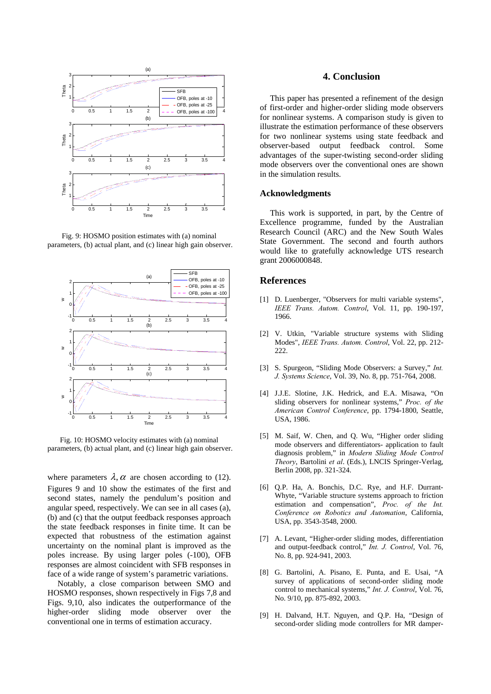

Fig. 9: HOSMO position estimates with (a) nominal parameters, (b) actual plant, and (c) linear high gain observer.



Fig. 10: HOSMO velocity estimates with (a) nominal parameters, (b) actual plant, and (c) linear high gain observer.

where parameters  $\lambda$ ,  $\alpha$  are chosen according to (12). Figures 9 and 10 show the estimates of the first and second states, namely the pendulum's position and angular speed, respectively. We can see in all cases (a), (b) and (c) that the output feedback responses approach the state feedback responses in finite time. It can be expected that robustness of the estimation against uncertainty on the nominal plant is improved as the poles increase. By using larger poles (-100), OFB responses are almost coincident with SFB responses in face of a wide range of system's parametric variations.

Notably, a close comparison between SMO and HOSMO responses, shown respectively in Figs 7,8 and Figs. 9,10, also indicates the outperformance of the higher-order sliding mode observer over the conventional one in terms of estimation accuracy.

#### **4. Conclusion**

This paper has presented a refinement of the design of first-order and higher-order sliding mode observers for nonlinear systems. A comparison study is given to illustrate the estimation performance of these observers for two nonlinear systems using state feedback and observer-based output feedback control. Some advantages of the super-twisting second-order sliding mode observers over the conventional ones are shown in the simulation results.

#### **Acknowledgments**

This work is supported, in part, by the Centre of Excellence programme, funded by the Australian Research Council (ARC) and the New South Wales State Government. The second and fourth authors would like to gratefully acknowledge UTS research grant 2006000848.

#### **References**

- [1] D. Luenberger, "Observers for multi variable systems", *IEEE Trans. Autom. Control*, Vol. 11, pp. 190-197, 1966.
- [2] V. Utkin, "Variable structure systems with Sliding Modes", *IEEE Trans. Autom. Control*, Vol. 22, pp. 212- 222.
- [3] S. Spurgeon, "Sliding Mode Observers: a Survey," *Int. J. Systems Science*, Vol. 39, No. 8, pp. 751-764, 2008.
- [4] J.J.E. Slotine, J.K. Hedrick, and E.A. Misawa, "On sliding observers for nonlinear systems," *Proc. of the American Control Conference*, pp. 1794-1800, Seattle, USA, 1986.
- [5] M. Saif, W. Chen, and Q. Wu, "Higher order sliding mode observers and differentiators- application to fault diagnosis problem," in *Modern Sliding Mode Control Theory*, Bartolini *et al*. (Eds.), LNCIS Springer-Verlag, Berlin 2008, pp. 321-324.
- [6] Q.P. Ha, A. Bonchis, D.C. Rye, and H.F. Durrant-Whyte, "Variable structure systems approach to friction estimation and compensation", *Proc. of the Int. Conference on Robotics and Automation*, California, USA, pp. 3543-3548, 2000.
- [7] A. Levant, "Higher-order sliding modes, differentiation and output-feedback control," *Int. J. Control*, Vol. 76, No. 8, pp. 924-941, 2003.
- [8] G. Bartolini, A. Pisano, E. Punta, and E. Usai, "A survey of applications of second-order sliding mode control to mechanical systems," *Int. J. Control*, Vol. 76, No. 9/10, pp. 875-892, 2003.
- [9] H. Dalvand, H.T. Nguyen, and Q.P. Ha, "Design of second-order sliding mode controllers for MR damper-